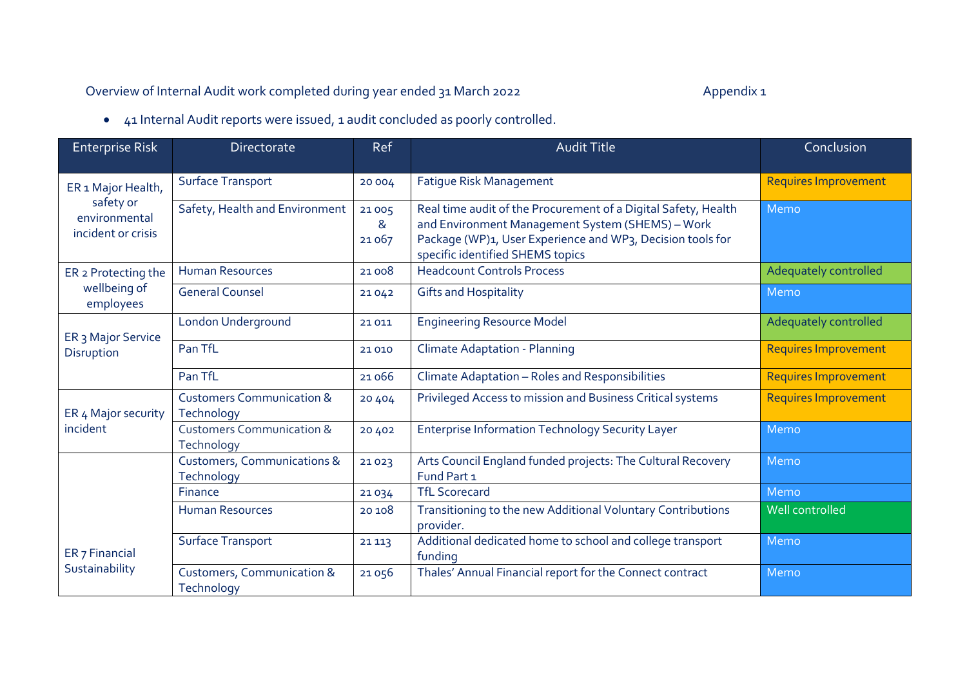## Overview of Internal Audit work completed during year ended 31 March 2022 Appendix 1

41 Internal Audit reports were issued, 1 audit concluded as poorly controlled.

| <b>Enterprise Risk</b>                                                 | <b>Directorate</b>                                   | Ref                 | <b>Audit Title</b>                                                                                                                                                                                                   | Conclusion                  |
|------------------------------------------------------------------------|------------------------------------------------------|---------------------|----------------------------------------------------------------------------------------------------------------------------------------------------------------------------------------------------------------------|-----------------------------|
| ER 1 Major Health,<br>safety or<br>environmental<br>incident or crisis | Surface Transport                                    | 20 004              | <b>Fatigue Risk Management</b>                                                                                                                                                                                       | <b>Requires Improvement</b> |
|                                                                        | Safety, Health and Environment                       | 21005<br>&<br>21067 | Real time audit of the Procurement of a Digital Safety, Health<br>and Environment Management System (SHEMS) - Work<br>Package (WP)1, User Experience and WP3, Decision tools for<br>specific identified SHEMS topics | Memo                        |
| ER 2 Protecting the<br>wellbeing of<br>employees                       | <b>Human Resources</b>                               | 21008               | <b>Headcount Controls Process</b>                                                                                                                                                                                    | Adequately controlled       |
|                                                                        | <b>General Counsel</b>                               | 21042               | <b>Gifts and Hospitality</b>                                                                                                                                                                                         | Memo                        |
| ER <sub>3</sub> Major Service<br>Disruption                            | <b>London Underground</b>                            | 21 0 11             | <b>Engineering Resource Model</b>                                                                                                                                                                                    | Adequately controlled       |
|                                                                        | Pan TfL                                              | 21010               | <b>Climate Adaptation - Planning</b>                                                                                                                                                                                 | <b>Requires Improvement</b> |
|                                                                        | Pan TfL                                              | 21066               | Climate Adaptation - Roles and Responsibilities                                                                                                                                                                      | <b>Requires Improvement</b> |
| ER 4 Major security<br>incident                                        | <b>Customers Communication &amp;</b><br>Technology   | 20 4 0 4            | Privileged Access to mission and Business Critical systems                                                                                                                                                           | <b>Requires Improvement</b> |
|                                                                        | <b>Customers Communication &amp;</b><br>Technology   | 20 40 2             | <b>Enterprise Information Technology Security Layer</b>                                                                                                                                                              | Memo                        |
|                                                                        | <b>Customers, Communications &amp;</b><br>Technology | 21023               | Arts Council England funded projects: The Cultural Recovery<br>Fund Part 1                                                                                                                                           | Memo                        |
|                                                                        | Finance                                              | 21034               | <b>TfL Scorecard</b>                                                                                                                                                                                                 | Memo                        |
|                                                                        | <b>Human Resources</b>                               | 20108               | Transitioning to the new Additional Voluntary Contributions<br>provider.                                                                                                                                             | Well controlled             |
| ER <sub>7</sub> Financial<br>Sustainability                            | <b>Surface Transport</b>                             | 21 1 13             | Additional dedicated home to school and college transport<br>funding                                                                                                                                                 | Memo                        |
|                                                                        | <b>Customers, Communication &amp;</b><br>Technology  | 21056               | Thales' Annual Financial report for the Connect contract                                                                                                                                                             | Memo                        |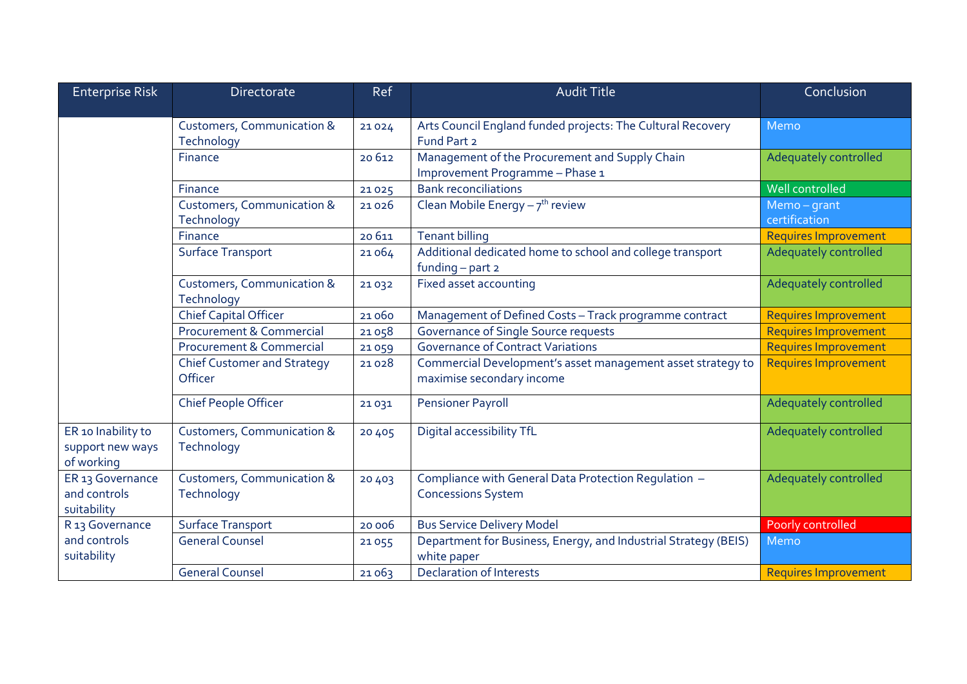| <b>Enterprise Risk</b>                                    | <b>Directorate</b>                                  | Ref      | <b>Audit Title</b>                                                                       | Conclusion                  |
|-----------------------------------------------------------|-----------------------------------------------------|----------|------------------------------------------------------------------------------------------|-----------------------------|
|                                                           | <b>Customers, Communication &amp;</b><br>Technology | 21024    | Arts Council England funded projects: The Cultural Recovery<br>Fund Part 2               | Memo                        |
|                                                           | Finance                                             | 20612    | Management of the Procurement and Supply Chain<br>Improvement Programme - Phase 1        | Adequately controlled       |
|                                                           | Finance                                             | 21025    | <b>Bank reconciliations</b>                                                              | Well controlled             |
|                                                           | <b>Customers, Communication &amp;</b><br>Technology | 21026    | Clean Mobile Energy $-7$ <sup>th</sup> review                                            | Memo-grant<br>certification |
|                                                           | Finance                                             | 20611    | <b>Tenant billing</b>                                                                    | <b>Requires Improvement</b> |
|                                                           | <b>Surface Transport</b>                            | 21064    | Additional dedicated home to school and college transport<br>funding $-$ part $2$        | Adequately controlled       |
|                                                           | <b>Customers, Communication &amp;</b><br>Technology | 21032    | Fixed asset accounting                                                                   | Adequately controlled       |
|                                                           | <b>Chief Capital Officer</b>                        | 21060    | Management of Defined Costs - Track programme contract                                   | <b>Requires Improvement</b> |
|                                                           | <b>Procurement &amp; Commercial</b>                 | 21058    | Governance of Single Source requests                                                     | <b>Requires Improvement</b> |
|                                                           | <b>Procurement &amp; Commercial</b>                 | 21059    | <b>Governance of Contract Variations</b>                                                 | <b>Requires Improvement</b> |
|                                                           | <b>Chief Customer and Strategy</b><br>Officer       | 21028    | Commercial Development's asset management asset strategy to<br>maximise secondary income | <b>Requires Improvement</b> |
|                                                           | <b>Chief People Officer</b>                         | 21031    | <b>Pensioner Payroll</b>                                                                 | Adequately controlled       |
| ER 10 Inability to<br>support new ways<br>of working      | <b>Customers, Communication &amp;</b><br>Technology | 20 4 0 5 | Digital accessibility TfL                                                                | Adequately controlled       |
| ER 13 Governance<br>and controls<br>suitability           | <b>Customers, Communication &amp;</b><br>Technology | 20 4 0 3 | Compliance with General Data Protection Regulation -<br><b>Concessions System</b>        | Adequately controlled       |
| R <sub>13</sub> Governance<br>and controls<br>suitability | <b>Surface Transport</b>                            | 20 006   | <b>Bus Service Delivery Model</b>                                                        | Poorly controlled           |
|                                                           | <b>General Counsel</b>                              | 21055    | Department for Business, Energy, and Industrial Strategy (BEIS)<br>white paper           | Memo                        |
|                                                           | <b>General Counsel</b>                              | 21063    | <b>Declaration of Interests</b>                                                          | <b>Requires Improvement</b> |